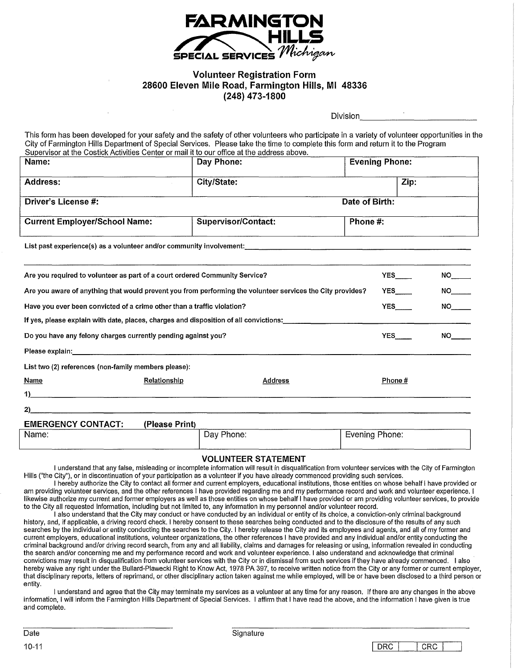

## Volunteer Registration Form 28600 Eleven Mile Road, Farmington Hills, MI 48336 (248) 473-1800

Division

This form has been developed for your safety and the safety of other volunteers who participate in a variety of volunteer opportunities in the City of Farmington Hills Department of Special Services. Please take the time to complete this form and return it to the Program This form has been developed for your safety and the safety of other volunteers who p<br>City of Farmington Hills Department of Special Services. Please take the time to comp<br>Supervisor at the Costick Activities Center or mai

| Name:                                                                                                                                                                                                                          |              | $\sigma$ out the contract control of the control of the control of the active active additional above.<br>Day Phone: |  | <b>Evening Phone:</b> |            |                 |  |
|--------------------------------------------------------------------------------------------------------------------------------------------------------------------------------------------------------------------------------|--------------|----------------------------------------------------------------------------------------------------------------------|--|-----------------------|------------|-----------------|--|
| <b>Address:</b>                                                                                                                                                                                                                |              | City/State:                                                                                                          |  |                       | Zip:       |                 |  |
| Driver's License #:<br>Date of Birth:                                                                                                                                                                                          |              |                                                                                                                      |  |                       |            |                 |  |
| <b>Current Employer/School Name:</b>                                                                                                                                                                                           |              | <b>Supervisor/Contact:</b>                                                                                           |  | Phone #:              |            |                 |  |
|                                                                                                                                                                                                                                |              |                                                                                                                      |  |                       |            |                 |  |
| Are you required to volunteer as part of a court ordered Community Service?                                                                                                                                                    |              |                                                                                                                      |  |                       | <b>YES</b> |                 |  |
| Are you aware of anything that would prevent you from performing the volunteer services the City provides?                                                                                                                     |              |                                                                                                                      |  |                       | <b>YES</b> |                 |  |
| Have you ever been convicted of a crime other than a traffic violation?                                                                                                                                                        |              |                                                                                                                      |  |                       | <b>YES</b> |                 |  |
| If yes, please explain with date, places, charges and disposition of all convictions:                                                                                                                                          |              |                                                                                                                      |  |                       |            |                 |  |
| Do you have any felony charges currently pending against you?                                                                                                                                                                  |              |                                                                                                                      |  |                       | <b>YES</b> | NO <sub>2</sub> |  |
| Please explain: Note and the state of the state of the state of the state of the state of the state of the state of the state of the state of the state of the state of the state of the state of the state of the state of th |              |                                                                                                                      |  |                       |            |                 |  |
| List two (2) references (non-family members please):                                                                                                                                                                           |              |                                                                                                                      |  |                       |            |                 |  |
| Name                                                                                                                                                                                                                           | Relationship | Address                                                                                                              |  |                       | Phone#     |                 |  |
|                                                                                                                                                                                                                                |              |                                                                                                                      |  |                       |            |                 |  |
| 2).<br><u> 1980 - Johann John Stoff, deutscher Stoff, der Stoff, der Stoff, der Stoff, der Stoff, der Stoff, der Stoff, </u>                                                                                                   |              |                                                                                                                      |  |                       |            |                 |  |
| <b>EMERGENCY CONTACT:</b><br>(Please Print)                                                                                                                                                                                    |              |                                                                                                                      |  |                       |            |                 |  |
| Name:                                                                                                                                                                                                                          |              | Day Phone:                                                                                                           |  | Evening Phone:        |            |                 |  |

#### VOLUNTEER STATEMENT

I understand that any false, misleading or incomplete information will result in disqualification from volunteer services with the City of Farmington Hills ("the City"), or in discontinuation of your participation as a volunteer if you have already commenced providing such services.

I hereby authorize the City to contact all former and current employers, educational institutions, those entities on whose behalf I have provided or am providing volunteer services, and the other references I have provided regarding me and my performance record and work and volunteer experience. I likewise authorize my current and former employers as well as those entities on whose behalf I have provided or am providing volunteer services, to provide to the City all requested information, including but not limited to, any information in my personnel and/or volunteer record.

I also understand that the City may conduct or have conducted by an individual or entity of its choice, a conviction-only criminal background history, and, if applicable, a driving record check. I hereby consent to these searches being conducted and to the disclosure of the results of any such searches by the individual or entity conducting the searches to the City. I hereby release the City and its employees and agents, and all of my former and current employers, educational institutions, volunteer organizations, the other references I have provided and any individual and/or entity conducting the criminal background and/or driving record search, from any and all liability, claims and damages for releasing or using, information revealed in conducting the search and/or concerning me and my performance record and work and volunteer experience. I also understand and acknowledge that criminal convictions may result in disqualification from volunteer services with the City or in dismissal from such services if they have already commenced. I also hereby waive any right under the Bullard-Plawecki Right to Know Act, 1978 PA 397, to receive written notice from the City or any former or current employer, that disciplinary reports, letters of reprimand, or other disciplinary action taken against me while employed, will be or have been disclosed to a third person or entity.

I understand and agree that the City may terminate my services as a volunteer at any time for any reason. If there are any changes in the above information, I will inform the Farmington Hills Department of Special Services. I affirm that I have read the above, and the information I have given is true and complete.

DRC CRC